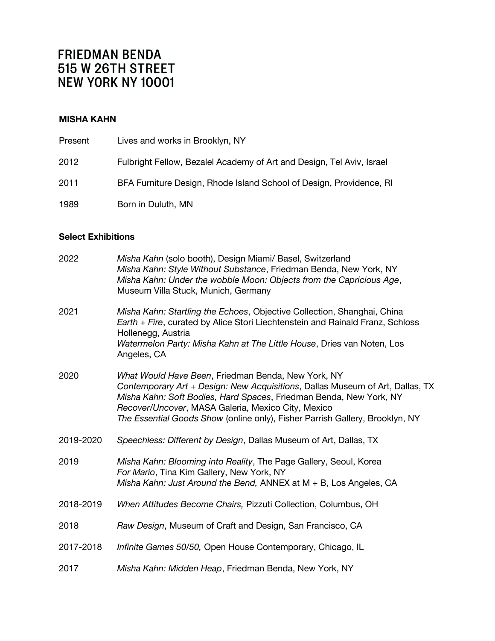# **MISHA KAHN**

| Present | Lives and works in Brooklyn, NY                                       |
|---------|-----------------------------------------------------------------------|
| 2012    | Fulbright Fellow, Bezalel Academy of Art and Design, Tel Aviv, Israel |
| 2011    | BFA Furniture Design, Rhode Island School of Design, Providence, RI   |
| 1989    | Born in Duluth, MN                                                    |

# **Select Exhibitions**

| 2022      | Misha Kahn (solo booth), Design Miami/ Basel, Switzerland<br>Misha Kahn: Style Without Substance, Friedman Benda, New York, NY<br>Misha Kahn: Under the wobble Moon: Objects from the Capricious Age,<br>Museum Villa Stuck, Munich, Germany                                                                                                    |
|-----------|-------------------------------------------------------------------------------------------------------------------------------------------------------------------------------------------------------------------------------------------------------------------------------------------------------------------------------------------------|
| 2021      | Misha Kahn: Startling the Echoes, Objective Collection, Shanghai, China<br>Earth + Fire, curated by Alice Stori Liechtenstein and Rainald Franz, Schloss<br>Hollenegg, Austria<br>Watermelon Party: Misha Kahn at The Little House, Dries van Noten, Los<br>Angeles, CA                                                                         |
| 2020      | What Would Have Been, Friedman Benda, New York, NY<br>Contemporary Art + Design: New Acquisitions, Dallas Museum of Art, Dallas, TX<br>Misha Kahn: Soft Bodies, Hard Spaces, Friedman Benda, New York, NY<br>Recover/Uncover, MASA Galeria, Mexico City, Mexico<br>The Essential Goods Show (online only), Fisher Parrish Gallery, Brooklyn, NY |
| 2019-2020 | Speechless: Different by Design, Dallas Museum of Art, Dallas, TX                                                                                                                                                                                                                                                                               |
| 2019      | Misha Kahn: Blooming into Reality, The Page Gallery, Seoul, Korea<br>For Mario, Tina Kim Gallery, New York, NY<br>Misha Kahn: Just Around the Bend, ANNEX at M + B, Los Angeles, CA                                                                                                                                                             |
| 2018-2019 | When Attitudes Become Chairs, Pizzuti Collection, Columbus, OH                                                                                                                                                                                                                                                                                  |
| 2018      | Raw Design, Museum of Craft and Design, San Francisco, CA                                                                                                                                                                                                                                                                                       |
| 2017-2018 | Infinite Games 50/50, Open House Contemporary, Chicago, IL                                                                                                                                                                                                                                                                                      |
| 2017      | Misha Kahn: Midden Heap, Friedman Benda, New York, NY                                                                                                                                                                                                                                                                                           |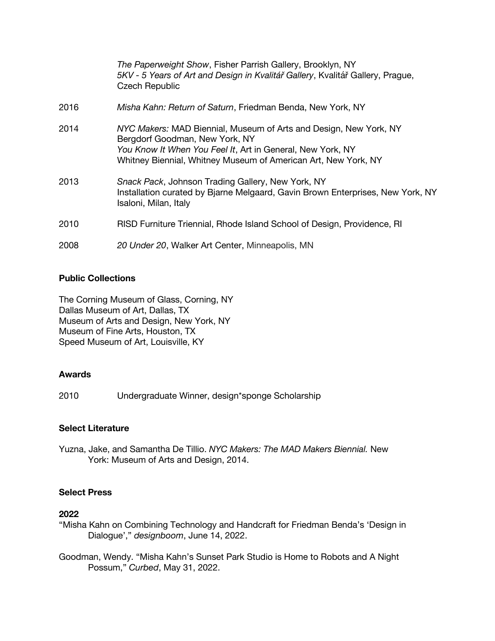|      | The Paperweight Show, Fisher Parrish Gallery, Brooklyn, NY<br>5KV - 5 Years of Art and Design in Kvalitář Gallery, Kvalitář Gallery, Prague,<br><b>Czech Republic</b>                                                               |
|------|-------------------------------------------------------------------------------------------------------------------------------------------------------------------------------------------------------------------------------------|
| 2016 | Misha Kahn: Return of Saturn, Friedman Benda, New York, NY                                                                                                                                                                          |
| 2014 | NYC Makers: MAD Biennial, Museum of Arts and Design, New York, NY<br>Bergdorf Goodman, New York, NY<br>You Know It When You Feel It, Art in General, New York, NY<br>Whitney Biennial, Whitney Museum of American Art, New York, NY |
| 2013 | Snack Pack, Johnson Trading Gallery, New York, NY<br>Installation curated by Bjarne Melgaard, Gavin Brown Enterprises, New York, NY<br>Isaloni, Milan, Italy                                                                        |
| 2010 | RISD Furniture Triennial, Rhode Island School of Design, Providence, RI                                                                                                                                                             |
| 2008 | 20 Under 20, Walker Art Center, Minneapolis, MN                                                                                                                                                                                     |

# **Public Collections**

The Corning Museum of Glass, Corning, NY Dallas Museum of Art, Dallas, TX Museum of Arts and Design, New York, NY Museum of Fine Arts, Houston, TX Speed Museum of Art, Louisville, KY

# **Awards**

2010 Undergraduate Winner, design\*sponge Scholarship

# **Select Literature**

Yuzna, Jake, and Samantha De Tillio. *NYC Makers: The MAD Makers Biennial.* New York: Museum of Arts and Design, 2014.

# **Select Press**

# **2022**

- "Misha Kahn on Combining Technology and Handcraft for Friedman Benda's 'Design in Dialogue'," *designboom*, June 14, 2022.
- Goodman, Wendy. "Misha Kahn's Sunset Park Studio is Home to Robots and A Night Possum," *Curbed*, May 31, 2022.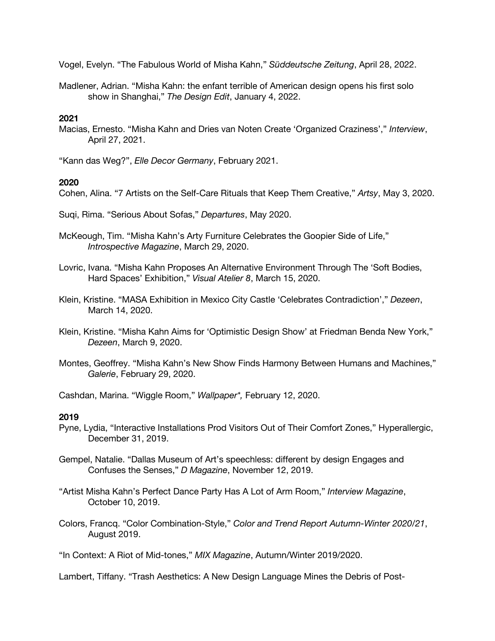Vogel, Evelyn. "The Fabulous World of Misha Kahn," *Süddeutsche Zeitung*, April 28, 2022.

Madlener, Adrian. "Misha Kahn: the enfant terrible of American design opens his first solo show in Shanghai," *The Design Edit*, January 4, 2022.

### **2021**

Macias, Ernesto. "Misha Kahn and Dries van Noten Create 'Organized Craziness'," *Interview*, April 27, 2021.

"Kann das Weg?", *Elle Decor Germany*, February 2021.

#### **2020**

Cohen, Alina. "7 Artists on the Self-Care Rituals that Keep Them Creative," *Artsy*, May 3, 2020.

- Suqi, Rima. "Serious About Sofas," *Departures*, May 2020.
- McKeough, Tim. "Misha Kahn's Arty Furniture Celebrates the Goopier Side of Life," *Introspective Magazine*, March 29, 2020.
- Lovric, Ivana. "Misha Kahn Proposes An Alternative Environment Through The 'Soft Bodies, Hard Spaces' Exhibition," *Visual Atelier 8*, March 15, 2020.
- Klein, Kristine. "MASA Exhibition in Mexico City Castle 'Celebrates Contradiction'," *Dezeen*, March 14, 2020.
- Klein, Kristine. "Misha Kahn Aims for 'Optimistic Design Show' at Friedman Benda New York," *Dezeen*, March 9, 2020.
- Montes, Geoffrey. "Misha Kahn's New Show Finds Harmony Between Humans and Machines," *Galerie*, February 29, 2020.

Cashdan, Marina. "Wiggle Room," *Wallpaper\*,* February 12, 2020.

#### **2019**

- Pyne, Lydia, "Interactive Installations Prod Visitors Out of Their Comfort Zones," Hyperallergic, December 31, 2019.
- Gempel, Natalie. "Dallas Museum of Art's speechless: different by design Engages and Confuses the Senses," *D Magazine*, November 12, 2019.
- "Artist Misha Kahn's Perfect Dance Party Has A Lot of Arm Room," *Interview Magazine*, October 10, 2019.
- Colors, Francq. "Color Combination-Style," *Color and Trend Report Autumn-Winter 2020/21*, August 2019.

"In Context: A Riot of Mid-tones," *MIX Magazine*, Autumn/Winter 2019/2020.

Lambert, Tiffany. "Trash Aesthetics: A New Design Language Mines the Debris of Post-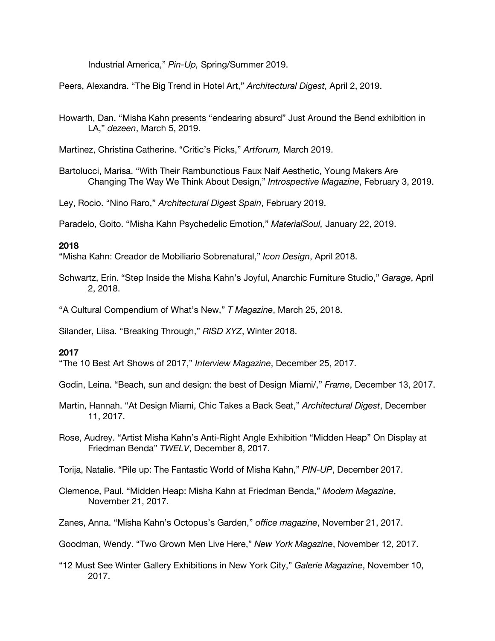Industrial America," *Pin-Up,* Spring/Summer 2019.

Peers, Alexandra. "The Big Trend in Hotel Art," *Architectural Digest,* April 2, 2019.

Howarth, Dan. "Misha Kahn presents "endearing absurd" Just Around the Bend exhibition in LA," *dezeen*, March 5, 2019.

Martinez, Christina Catherine. "Critic's Picks," *Artforum,* March 2019.

Bartolucci, Marisa. "With Their Rambunctious Faux Naif Aesthetic, Young Makers Are Changing The Way We Think About Design," *Introspective Magazine*, February 3, 2019.

Ley, Rocio. "Nino Raro," *Architectural Diges*t *Spain*, February 2019.

Paradelo, Goito. "Misha Kahn Psychedelic Emotion," *MaterialSoul,* January 22, 2019.

#### **2018**

"Misha Kahn: Creador de Mobiliario Sobrenatural," *Icon Design*, April 2018.

Schwartz, Erin. "Step Inside the Misha Kahn's Joyful, Anarchic Furniture Studio," *Garage*, April 2, 2018.

"A Cultural Compendium of What's New," *T Magazine*, March 25, 2018.

Silander, Liisa. "Breaking Through," *RISD XYZ*, Winter 2018.

# **2017**

"The 10 Best Art Shows of 2017," *Interview Magazine*, December 25, 2017.

Godin, Leina. "Beach, sun and design: the best of Design Miami/," *Frame*, December 13, 2017.

Martin, Hannah. "At Design Miami, Chic Takes a Back Seat," *Architectural Digest*, December 11, 2017.

Rose, Audrey. "Artist Misha Kahn's Anti-Right Angle Exhibition "Midden Heap" On Display at Friedman Benda" *TWELV*, December 8, 2017.

Torija, Natalie. "Pile up: The Fantastic World of Misha Kahn," *PIN-UP*, December 2017.

Clemence, Paul. "Midden Heap: Misha Kahn at Friedman Benda," *Modern Magazine*, November 21, 2017.

Zanes, Anna. "Misha Kahn's Octopus's Garden," *office magazine*, November 21, 2017.

Goodman, Wendy. "Two Grown Men Live Here," *New York Magazine*, November 12, 2017.

"12 Must See Winter Gallery Exhibitions in New York City," *Galerie Magazine*, November 10, 2017.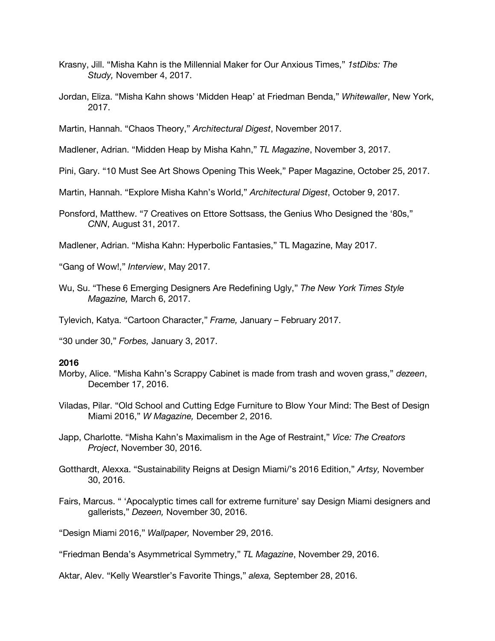- Krasny, Jill. "Misha Kahn is the Millennial Maker for Our Anxious Times," *1stDibs: The Study,* November 4, 2017.
- Jordan, Eliza. "Misha Kahn shows 'Midden Heap' at Friedman Benda," *Whitewaller*, New York, 2017.

Martin, Hannah. "Chaos Theory," *Architectural Digest*, November 2017.

Madlener, Adrian. "Midden Heap by Misha Kahn," *TL Magazine*, November 3, 2017.

Pini, Gary. "10 Must See Art Shows Opening This Week," Paper Magazine, October 25, 2017.

Martin, Hannah. "Explore Misha Kahn's World," *Architectural Digest*, October 9, 2017.

Ponsford, Matthew. "7 Creatives on Ettore Sottsass, the Genius Who Designed the '80s," *CNN*, August 31, 2017.

Madlener, Adrian. "Misha Kahn: Hyperbolic Fantasies," TL Magazine, May 2017.

"Gang of Wow!," *Interview*, May 2017.

Wu, Su. "These 6 Emerging Designers Are Redefining Ugly," *The New York Times Style Magazine,* March 6, 2017.

Tylevich, Katya. "Cartoon Character," *Frame,* January – February 2017.

"30 under 30," *Forbes,* January 3, 2017.

#### **2016**

- Morby, Alice. "Misha Kahn's Scrappy Cabinet is made from trash and woven grass," *dezeen*, December 17, 2016.
- Viladas, Pilar. "Old School and Cutting Edge Furniture to Blow Your Mind: The Best of Design Miami 2016," *W Magazine,* December 2, 2016.
- Japp, Charlotte. "Misha Kahn's Maximalism in the Age of Restraint," *Vice: The Creators Project*, November 30, 2016.
- Gotthardt, Alexxa. "Sustainability Reigns at Design Miami/'s 2016 Edition," *Artsy,* November 30, 2016.
- Fairs, Marcus. " 'Apocalyptic times call for extreme furniture' say Design Miami designers and gallerists," *Dezeen,* November 30, 2016.

"Design Miami 2016," *Wallpaper,* November 29, 2016.

"Friedman Benda's Asymmetrical Symmetry," *TL Magazine*, November 29, 2016.

Aktar, Alev. "Kelly Wearstler's Favorite Things," *alexa,* September 28, 2016.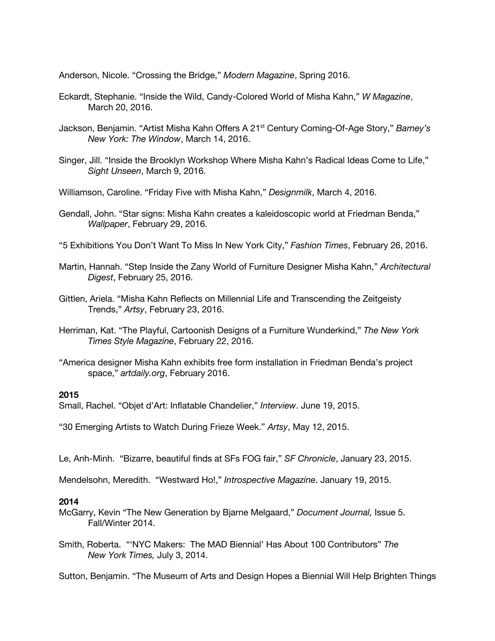Anderson, Nicole. "Crossing the Bridge," *Modern Magazine*, Spring 2016.

- Eckardt, Stephanie. "Inside the Wild, Candy-Colored World of Misha Kahn," *W Magazine*, March 20, 2016.
- Jackson, Benjamin. "Artist Misha Kahn Offers A 21st Century Coming-Of-Age Story," *Barney's New York: The Window*, March 14, 2016.
- Singer, Jill. "Inside the Brooklyn Workshop Where Misha Kahn's Radical Ideas Come to Life," *Sight Unseen*, March 9, 2016.
- Williamson, Caroline. "Friday Five with Misha Kahn," *Designmilk*, March 4, 2016.
- Gendall, John. "Star signs: Misha Kahn creates a kaleidoscopic world at Friedman Benda," *Wallpaper*, February 29, 2016.
- "5 Exhibitions You Don't Want To Miss In New York City," *Fashion Times*, February 26, 2016.
- Martin, Hannah. "Step Inside the Zany World of Furniture Designer Misha Kahn," *Architectural Digest*, February 25, 2016.
- Gittlen, Ariela. "Misha Kahn Reflects on Millennial Life and Transcending the Zeitgeisty Trends," *Artsy*, February 23, 2016.
- Herriman, Kat. "The Playful, Cartoonish Designs of a Furniture Wunderkind," *The New York Times Style Magazine*, February 22, 2016.
- "America designer Misha Kahn exhibits free form installation in Friedman Benda's project space," *artdaily.org*, February 2016.

#### **2015**

Small, Rachel. "Objet d'Art: Inflatable Chandelier," *Interview*. June 19, 2015.

"30 Emerging Artists to Watch During Frieze Week." *Artsy*, May 12, 2015.

Le, Anh-Minh. "Bizarre, beautiful finds at SFs FOG fair," *SF Chronicle*, January 23, 2015.

Mendelsohn, Meredith. "Westward Ho!," *Introspective Magazine*. January 19, 2015.

#### **2014**

- McGarry, Kevin "The New Generation by Bjarne Melgaard," *Document Journal,* Issue 5. Fall/Winter 2014.
- Smith, Roberta. "'NYC Makers: The MAD Biennial' Has About 100 Contributors" *The New York Times,* July 3, 2014.

Sutton, Benjamin. "The Museum of Arts and Design Hopes a Biennial Will Help Brighten Things